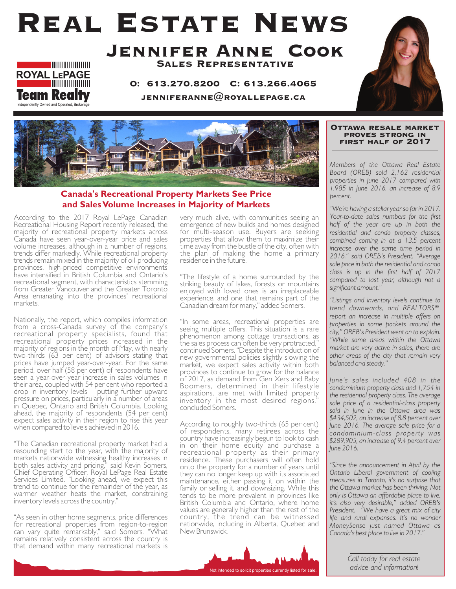# Real Estate News





O: 613.270.8200 C: 613.266.4065

JENNIFERANNE $@$ ROYALLEPAGE.CA





### **Canada's Recreational Property Markets See Price and Sales Volume Increases in Majority of Markets**

According to the 2017 Royal LePage Canadian Recreational Housing Report recently released, the majority of recreational property markets across Canada have seen year-over-year price and sales volume increases, although in a number of regions, trends differ markedly. While recreational property trends remain mixed in the majority of oil-producing provinces, high-priced competitive environments have intensified in British Columbia and Ontario's recreational segment, with characteristics stemming from Greater Vancouver and the Greater Toronto Area emanating into the provinces' recreational markets.

Nationally, the report, which compiles information from a cross-Canada survey of the company's recreational property specialists, found that recreational property prices increased in the majority of regions in the month of May, with nearly two-thirds (63 per cent) of advisors stating that prices have jumped year-over-year. For the same period, over half (58 per cent) of respondents have seen a year-over-year increase in sales volumes in their area, coupled with 54 per cent who reported a drop in inventory levels – putting further upward pressure on prices, particularly in a number of areas in Quebec, Ontario and British Columbia. Looking ahead, the majority of respondents (54 per cent) expect sales activity in their region to rise this year when compared to levels achieved in 2016.

"The Canadian recreational property market had a resounding start to the year, with the majority of markets nationwide witnessing healthy increases in both sales activity and pricing," said Kevin Somers, Chief Operating Officer, Royal LePage Real Estate Services Limited. "Looking ahead, we expect this trend to continue for the remainder of the year, as warmer weather heats the market, constraining inventory levels across the country."

"As seen in other home segments, price differences for recreational properties from region-to-region can vary quite remarkably," said Somers. "What remains relatively consistent across the country is that demand within many recreational markets is

very much alive, with communities seeing an emergence of new builds and homes designed for multi-season use. Buyers are seeking properties that allow them to maximize their time away from the bustle of the city, often with the plan of making the home a primary residence in the future.

"The lifestyle of a home surrounded by the striking beauty of lakes, forests or mountains enjoyed with loved ones is an irreplaceable experience, and one that remains part of the Canadian dream for many," added Somers.

"In some areas, recreational properties are seeing multiple offers. This situation is a rare phenomenon among cottage transactions, as the sales process can often be very protracted," continued Somers. "Despite the introduction of new governmental policies slightly slowing the market, we expect sales activity within both provinces to continue to grow for the balance of 2017, as demand from Gen Xers and Baby Boomers, determined in their lifestyle aspirations, are met with limited property inventory in the most desired regions," concluded Somers.

According to roughly two-thirds (65 per cent) of respondents, many retirees across the country have increasingly begun to look to cash in on their home equity and purchase a recreational property as their primary residence. These purchasers will often hold onto the property for a number of years until they can no longer keep up with its associated maintenance, either passing it on within the family or selling it, and downsizing. While this tends to be more prevalent in provinces like British Columbia and Ontario, where home values are generally higher than the rest of the country, the trend can be witnessed nationwide, including in Alberta, Quebec and New Brunswick.



#### Ottawa resale market proves strong in FIRST HALF OF 2017

*Members of the Ottawa Real Estate Board (OREB) sold 2,162 residential properties in June 2017 compared with 1,985 in June 2016, an increase of 8.9 percent.* 

*"We're having a stellar year so far in 2017. Year-to-date sales numbers for the first half of the year are up in both the residential and condo property classes, combined coming in at a 13.5 percent increase over the same time period in 2016," said OREB's President. "Average sale price in both the residential and condo class is up in the first half of 2017 compared to last year, although not a significant amount."* 

*"Listings and inventory levels continue to trend downwards, and REALTORS® report an increase in multiple offers on properties in some pockets around the city," OREB's President went on to explain. "While some areas within the Ottawa market are very active in sales, there are other areas of the city that remain very balanced and steady."*

*June's sales included 408 in the condominium property class and 1,754 in the residential property class. The average sale price of a residential-class property sold in June in the Ottawa area was \$434,502, an increase of 8.8 percent over June 2016. The average sale price for a condominium-class property was \$289,905, an increase of 9.4 percent over June 2016.* 

*"Since the announcement in April by the Ontario Liberal government of cooling measures in Toronto, it's no surprise that the Ottawa market has been thriving. Not only is Ottawa an affordable place to live, it's also very desirable," added OREB's President. "We have a great mix of city life and rural expanses. It's no wonder MoneySense just named Ottawa as Canada's best place to live in 2017."*

> *Call today for real estate advice and information!*